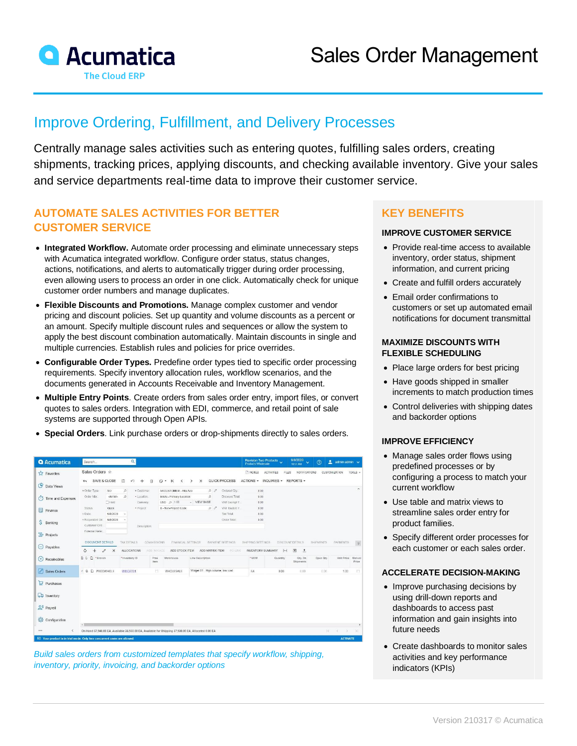

# Improve Ordering, Fulfillment, and Delivery Processes

Centrally manage sales activities such as entering quotes, fulfilling sales orders, creating shipments, tracking prices, applying discounts, and checking available inventory. Give your sales and service departments real-time data to improve their customer service.

### **AUTOMATE SALES ACTIVITIES FOR BETTER CUSTOMER SERVICE**

- **Integrated Workflow.** Automate order processing and eliminate unnecessary steps with Acumatica integrated workflow. Configure order status, status changes, actions, notifications, and alerts to automatically trigger during order processing, even allowing users to process an order in one click. Automatically check for unique customer order numbers and manage duplicates.
- **Flexible Discounts and Promotions.** Manage complex customer and vendor pricing and discount policies. Set up quantity and volume discounts as a percent or an amount. Specify multiple discount rules and sequences or allow the system to apply the best discount combination automatically. Maintain discounts in single and multiple currencies. Establish rules and policies for price overrides.
- **Configurable Order Types.** Predefine order types tied to specific order processing requirements. Specify inventory allocation rules, workflow scenarios, and the documents generated in Accounts Receivable and Inventory Management.
- **Multiple Entry Points**. Create orders from sales order entry, import files, or convert quotes to sales orders. Integration with EDI, commerce, and retail point of sale systems are supported through Open APIs.
- **Special Orders**. Link purchase orders or drop-shipments directly to sales orders.

| <b>Q</b> Acumatica                                                      | Search                                                                                                                                                                          |                                | $\alpha$           |                          |              |            |                         |               |                              |                                   |                | Revision Two Products<br>Products Wholesale | 9/8/2020<br>10:51 AM                                    | $\odot$<br>$\ddot{\mathbf{v}}$ | $2$ admin admin $\sqrt{ }$ |                           |
|-------------------------------------------------------------------------|---------------------------------------------------------------------------------------------------------------------------------------------------------------------------------|--------------------------------|--------------------|--------------------------|--------------|------------|-------------------------|---------------|------------------------------|-----------------------------------|----------------|---------------------------------------------|---------------------------------------------------------|--------------------------------|----------------------------|---------------------------|
| <b>A</b> Favorites                                                      | Sales Orders $\triangle$                                                                                                                                                        |                                |                    |                          |              |            |                         |               |                              |                                   | <b>T</b> NOTES | <b>ACTIVITIES</b>                           | FILES<br>NOTIFICATIONS                                  |                                | <b>CUSTOMIZATION</b>       | TOOLS +                   |
| <b>C</b> Data Views                                                     | SAVE & CLOSE                                                                                                                                                                    |                                | a<br>↶             | +                        | û            | ο<br>$\;$  | $\mathsf{K}$<br>≺       | $\mathcal{L}$ | $\lambda$                    | QUICK PROCESS                     | ACTIONS -      |                                             | INQUIRIES - REPORTS -                                   |                                |                            |                           |
|                                                                         | * Order Type                                                                                                                                                                    | SO.                            | $\mathcal{L}$      | · Customer.              |              |            | AACUSTOMER - Alla Ace   |               | $\rho$                       | Ordered Qty.                      | 0.00           |                                             |                                                         |                                |                            | $\hat{\phantom{a}}$       |
| Ò<br>Time and Expenses                                                  | Order Nbr.:                                                                                                                                                                     | <new><br/><b>Citiold</b></new> | $\circ$            | · Location.<br>Currency: |              | USD @ 1.00 | MAIN - Primary Location |               | $\mathcal{Q}$<br>- VIEW BASE | Discount Total.<br>VAT Exempt T.  | 0.00<br>0.00   |                                             |                                                         |                                |                            |                           |
| $\square$<br>Finance                                                    | Status                                                                                                                                                                          | Open                           |                    | $\div$ Project           |              |            | X - Non-Project Code    |               | D                            | VAT Taxable T                     | 0.00           |                                             |                                                         |                                |                            |                           |
|                                                                         | · Date:                                                                                                                                                                         | 9/8/2020                       |                    |                          |              |            |                         |               |                              | Tax Total                         | 000            |                                             |                                                         |                                |                            |                           |
| S Banking                                                               | * Requested On:<br><b>Customer Ord</b>                                                                                                                                          | 9/8/2020                       |                    | Doscription:             |              |            |                         |               |                              | Order Total:                      | 0.00           |                                             |                                                         |                                |                            |                           |
| <b>B</b> Projects                                                       | External Refer                                                                                                                                                                  |                                |                    |                          |              |            |                         |               |                              |                                   |                |                                             |                                                         |                                |                            |                           |
| $\ominus$ Payables                                                      | DOCUMENT DETAILS<br><b>TAX DETAILS</b><br>COMMISSIONS<br><b>FINANCIAL SETTINGS</b><br><b>PAYMENTS</b><br>PAYMENT SETTINGS<br>SHIPPING SETTINGS<br>DISCOUNT DETAILS<br>SHIPMENTS |                                |                    |                          |              |            |                         |               |                              |                                   | $\mathcal{V}$  |                                             |                                                         |                                |                            |                           |
|                                                                         | Õ<br>$^{+}$<br>0                                                                                                                                                                | $\times$                       | <b>ALLOCATIONS</b> |                          | ADD INVOICE  |            | ADD STOCK ITEM          |               | ADD MATRIX ITEM              | <b>PO LINK</b>                    |                | <b>INVENTORY SUMMARY</b>                    | $\boxed{\mathbf{X}}$<br>$  -  $<br>$\cdot$ <sub>1</sub> |                                |                            |                           |
| $\left( \begin{matrix} + \end{matrix} \right)$<br>Receivables           | D<br>*Branch<br>四日                                                                                                                                                              |                                | * Inventory ID     |                          | Free<br>Item | Warehouse  |                         |               | Line Description             |                                   | "UOM           | Quantity                                    | Qty, On<br>Shipments                                    | Open Qty.                      | Unit Price                 | Manual<br>Price           |
| 8 Sales Orders                                                          | 2.6<br>D PRODWHOLE                                                                                                                                                              |                                | WIDGET01           |                          | п            |            | WHOLESALE               |               |                              | Widget 01 - High volume, low cost | EA             | 0.00                                        | 0.00                                                    | 0.00                           | 1.00                       | п                         |
| Purchases                                                               |                                                                                                                                                                                 |                                |                    |                          |              |            |                         |               |                              |                                   |                |                                             |                                                         |                                |                            |                           |
| ab Inventory                                                            |                                                                                                                                                                                 |                                |                    |                          |              |            |                         |               |                              |                                   |                |                                             |                                                         |                                |                            |                           |
| $2s$ Payroll                                                            |                                                                                                                                                                                 |                                |                    |                          |              |            |                         |               |                              |                                   |                |                                             |                                                         |                                |                            |                           |
| 6<br>Configuration                                                      |                                                                                                                                                                                 |                                |                    |                          |              |            |                         |               |                              |                                   |                |                                             |                                                         |                                |                            |                           |
| $\epsilon$<br>                                                          | 4.11                                                                                                                                                                            |                                |                    |                          |              |            |                         |               |                              |                                   |                |                                             |                                                         |                                | $\lceil \zeta \rceil$<br>> |                           |
| ■ Your product is in trial mode. Only two concurrent users are allowed. | On Hand 57,940.00 EA, Available 35,930.00 EA, Available for Shipping 57,930.00 EA, Allocated 0.00 EA                                                                            |                                |                    |                          |              |            |                         |               |                              |                                   |                |                                             |                                                         |                                |                            | $\geq$<br><b>ACTIVATE</b> |

*Build sales orders from customized templates that specify workflow, shipping, inventory, priority, invoicing, and backorder options*

### **KEY BENEFITS**

#### **IMPROVE CUSTOMER SERVICE**

- Provide real-time access to available inventory, order status, shipment information, and current pricing
- Create and fulfill orders accurately
- Email order confirmations to customers or set up automated email notifications for document transmittal

#### **MAXIMIZE DISCOUNTS WITH FLEXIBLE SCHEDULING**

- Place large orders for best pricing
- Have goods shipped in smaller increments to match production times
- Control deliveries with shipping dates and backorder options

#### **IMPROVE EFFICIENCY**

- Manage sales order flows using predefined processes or by configuring a process to match your current workflow
- Use table and matrix views to streamline sales order entry for product families.
- Specify different order processes for each customer or each sales order.

#### **ACCELERATE DECISION-MAKING**

- Improve purchasing decisions by using drill-down reports and dashboards to access past information and gain insights into future needs
- Create dashboards to monitor sales activities and key performance indicators (KPIs)